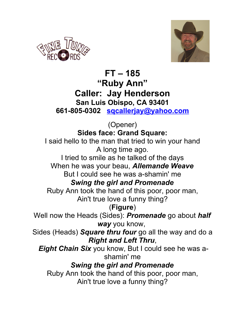



**FT – 185 "Ruby Ann" Caller: Jay Henderson San Luis Obispo, CA 93401 661-805-0302 [sqcallerjay@yahoo.com](mailto:sqcallerjay@yahoo.com)**

(Opener)

**Sides face: Grand Square:**

I said hello to the man that tried to win your hand A long time ago. I tried to smile as he talked of the days When he was your beau, *Allemande Weave* But I could see he was a-shamin' me *Swing the girl and Promenade* Ruby Ann took the hand of this poor, poor man, Ain't true love a funny thing? (**Figure**) Well now the Heads (Sides): *Promenade* go about *half way* you know, Sides (Heads) *Square thru four* go all the way and do a *Right and Left Thru*, *Eight Chain Six* you know, But I could see he was ashamin' me *Swing the girl and Promenade* Ruby Ann took the hand of this poor, poor man, Ain't true love a funny thing?